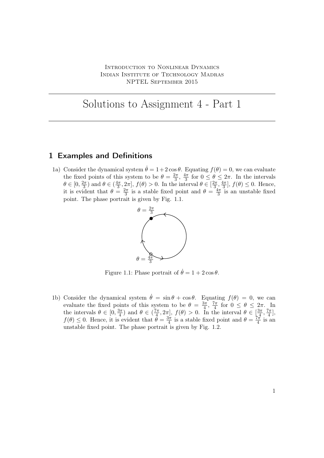Introduction to Nonlinear Dynamics Indian Institute of Technology Madras NPTEL September 2015

# Solutions to Assignment 4 - Part 1

#### 1 Examples and Definitions

1a) Consider the dynamical system  $\dot{\theta} = 1 + 2 \cos \theta$ . Equating  $f(\theta) = 0$ , we can evaluate the fixed points of this system to be  $\theta = \frac{2\pi}{3}$  $\frac{2\pi}{3}, \frac{4\pi}{3}$  $\frac{4\pi}{3}$  for  $0 \leq \theta \leq 2\pi$ . In the intervals  $\theta \in [0, \frac{2\pi}{3}]$  $\frac{2\pi}{3}$ ) and  $\theta \in (\frac{4\pi}{3})$  $\frac{1\pi}{3}, 2\pi$ ,  $f(\theta) > 0$ . In the interval  $\theta \in \left[\frac{2\pi}{3}\right]$  $\frac{2\pi}{3}, \frac{4\pi}{3}$  $\left[\frac{4\pi}{3}\right], f(\theta) \leq 0.$  Hence, it is evident that  $\theta = \frac{2\pi}{3}$  $\frac{2\pi}{3}$  is a stable fixed point and  $\theta = \frac{3\pi}{3}$  $\frac{1\pi}{3}$  is an unstable fixed point. The phase portrait is given by Fig. 1.1.



Figure 1.1: Phase portrait of  $\dot{\theta} = 1 + 2 \cos \theta$ .

1b) Consider the dynamical system  $\dot{\theta} = \sin \theta + \cos \theta$ . Equating  $f(\theta) = 0$ , we can evaluate the fixed points of this system to be  $\theta = \frac{3\pi}{4}$  $\frac{3\pi}{4}$ ,  $\frac{7\pi}{4}$  $\frac{7\pi}{4}$  for  $0 \leq \theta \leq 2\pi$ . In the intervals  $\theta \in [0, \frac{3\pi}{4}]$  $\left(\frac{3\pi}{4}\right)$  and  $\theta \in \left(\frac{7\pi}{4}\right)$  $\left[\frac{7\pi}{4}, 2\pi\right], f(\theta) > 0.$  In the interval  $\theta \in \left[\frac{3\pi}{4}\right]$  $\frac{3\pi}{4}, \frac{7\pi}{4}$  $\frac{\pi}{4}$ ,  $f(\theta) \leq 0$ . Hence, it is evident that  $\theta = \frac{3\pi}{4}$  $\frac{3\pi}{4}$  is a stable fixed point and  $\theta = \frac{7\pi}{4}$  $\frac{\pi}{4}$  is an unstable fixed point. The phase portrait is given by Fig. 1.2.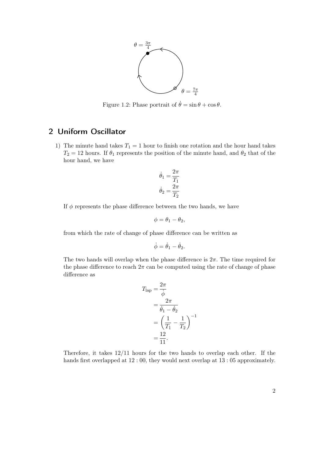

Figure 1.2: Phase portrait of  $\dot{\theta} = \sin \theta + \cos \theta$ .

## 2 Uniform Oscillator

1) The minute hand takes  $T_1 = 1$  hour to finish one rotation and the hour hand takes  $T_2 = 12$  hours. If  $\theta_1$  represents the position of the minute hand, and  $\theta_2$  that of the hour hand, we have

$$
\dot{\theta}_1 = \frac{2\pi}{T_1}
$$

$$
\dot{\theta}_2 = \frac{2\pi}{T_2}
$$

If  $\phi$  represents the phase difference between the two hands, we have

$$
\phi = \theta_1 - \theta_2,
$$

from which the rate of change of phase difference can be written as

$$
\dot{\phi} = \dot{\theta}_1 - \dot{\theta}_2.
$$

The two hands will overlap when the phase difference is  $2\pi$ . The time required for the phase difference to reach  $2\pi$  can be computed using the rate of change of phase difference as

$$
T_{\text{lap}} = \frac{2\pi}{\dot{\phi}}
$$
  
= 
$$
\frac{2\pi}{\dot{\theta}_1 - \dot{\theta}_2}
$$
  
= 
$$
\left(\frac{1}{T_1} - \frac{1}{T_2}\right)^{-1}
$$
  
= 
$$
\frac{12}{11}.
$$

Therefore, it takes 12/11 hours for the two hands to overlap each other. If the hands first overlapped at 12 : 00, they would next overlap at 13 : 05 approximately.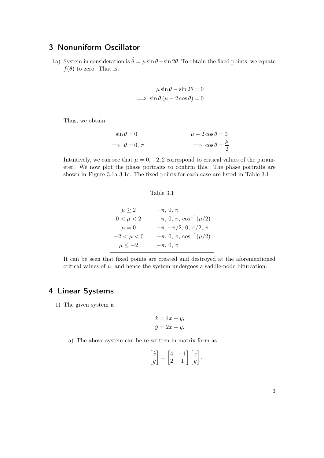### 3 Nonuniform Oscillator

1a) System in consideration is  $\dot{\theta} = \mu \sin \theta - \sin 2\theta$ . To obtain the fixed points, we equate  $f(\theta)$  to zero. That is,

$$
\mu \sin \theta - \sin 2\theta = 0
$$
  

$$
\implies \sin \theta \left( \mu - 2 \cos \theta \right) = 0
$$

Thus, we obtain

$$
\sin \theta = 0 \qquad \qquad \mu - 2\cos\theta = 0
$$
  

$$
\implies \theta = 0, \pi \qquad \qquad \implies \cos\theta = \frac{\mu}{2}
$$

Intuitively, we can see that  $\mu = 0, -2, 2$  correspond to critical values of the parameter. We now plot the phase portraits to confirm this. The phase portraits are shown in Figure 3.1a-3.1e. The fixed points for each case are listed in Table 3.1.

| Table 3.1      |                                        |
|----------------|----------------------------------------|
|                |                                        |
| $\mu \geq 2$   | $-\pi$ , 0, $\pi$                      |
| $0 < \mu < 2$  | $-\pi$ , 0, $\pi$ , $\cos^{-1}(\mu/2)$ |
| $\mu = 0$      | $-\pi, -\pi/2, 0, \pi/2, \pi$          |
| $-2 < \mu < 0$ | $-\pi$ , 0, $\pi$ , $\cos^{-1}(\mu/2)$ |
| $\mu \leq -2$  | $-\pi$ , 0, $\pi$                      |

It can be seen that fixed points are created and destroyed at the aforementioned critical values of  $\mu$ , and hence the system undergoes a saddle-node bifurcation.

#### 4 Linear Systems

1) The given system is

$$
\dot{x} = 4x - y,
$$
  

$$
\dot{y} = 2x + y.
$$

a) The above system can be re-written in matrix form as

$$
\begin{bmatrix} \dot{x} \\ \dot{y} \end{bmatrix} = \begin{bmatrix} 4 & -1 \\ 2 & 1 \end{bmatrix} \begin{bmatrix} x \\ y \end{bmatrix}.
$$

3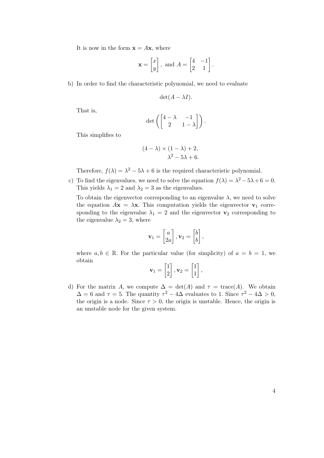It is now in the form  $\dot{\mathbf{x}} = A\mathbf{x}$ , where

$$
\mathbf{x} = \begin{bmatrix} x \\ y \end{bmatrix}, \text{ and } A = \begin{bmatrix} 4 & -1 \\ 2 & 1 \end{bmatrix}.
$$

b) In order to find the characteristic polynomial, we need to evaluate

$$
\det(A - \lambda I).
$$

That is,

$$
\det\left(\begin{bmatrix} 4-\lambda & -1 \\ 2 & 1-\lambda \end{bmatrix}\right).
$$

This simplifies to

$$
(4 - \lambda) \times (1 - \lambda) + 2,
$$
  

$$
\lambda^2 - 5\lambda + 6.
$$

Therefore,  $f(\lambda) = \lambda^2 - 5\lambda + 6$  is the required characteristic polynomial.

c) To find the eigenvalues, we need to solve the equation  $f(\lambda) = \lambda^2 - 5\lambda + 6 = 0$ . This yields  $\lambda_1 = 2$  and  $\lambda_2 = 3$  as the eigenvalues.

To obtain the eigenvector corresponding to an eigenvalue  $\lambda$ , we need to solve the equation  $A\mathbf{x} = \lambda \mathbf{x}$ . This computation yields the eigenvector  $\mathbf{v}_1$  corresponding to the eigenvalue  $\lambda_1 = 2$  and the eigenvector  $\mathbf{v}_2$  corresponding to the eigenvalue  $\lambda_2 = 3$ , where

$$
\mathbf{v}_1 = \begin{bmatrix} a \\ 2a \end{bmatrix}, \mathbf{v}_2 = \begin{bmatrix} b \\ b \end{bmatrix},
$$

where  $a, b \in \mathbb{R}$ . For the particular value (for simplicity) of  $a = b = 1$ , we obtain

$$
\mathbf{v}_1 = \begin{bmatrix} 1 \\ 2 \end{bmatrix}, \mathbf{v}_2 = \begin{bmatrix} 1 \\ 1 \end{bmatrix},
$$

d) For the matrix A, we compute  $\Delta = \det(A)$  and  $\tau = \text{trace}(A)$ . We obtain  $\Delta = 6$  and  $\tau = 5$ . The quantity  $\tau^2 - 4\Delta$  evaluates to 1. Since  $\tau^2 - 4\Delta > 0$ , the origin is a node. Since  $\tau > 0$ , the origin is unstable. Hence, the origin is an unstable node for the given system.